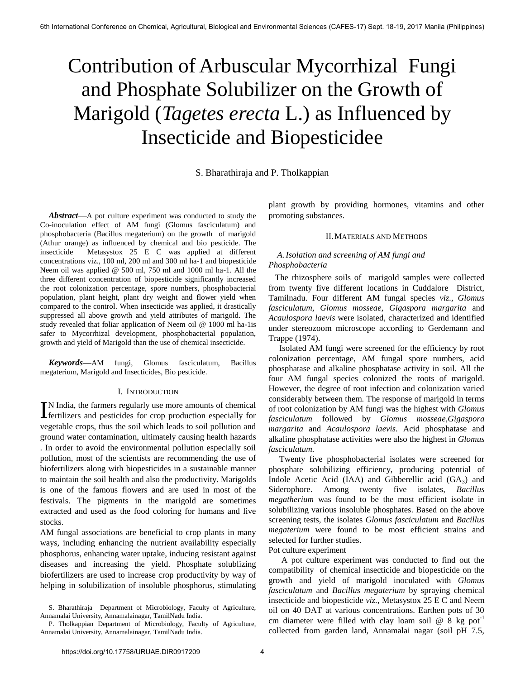# Contribution of Arbuscular Mycorrhizal Fungi and Phosphate Solubilizer on the Growth of Marigold (*Tagetes erecta* L.) as Influenced by Insecticide and Biopesticidee

S. Bharathiraja and P. Tholkappian

*Abstract***—**A pot culture experiment was conducted to study the Co-inoculation effect of AM fungi (Glomus fasciculatum) and phosphobacteria (Bacillus megaterium) on the growth of marigold (Athur orange) as influenced by chemical and bio pesticide. The insecticide Metasystox 25 E C was applied at different concentrations viz., 100 ml, 200 ml and 300 ml ha-1 and biopesticide Neem oil was applied @ 500 ml, 750 ml and 1000 ml ha-1. All the three different concentration of biopesticide significantly increased the root colonization percentage, spore numbers, phosphobacterial population, plant height, plant dry weight and flower yield when compared to the control. When insecticide was applied, it drastically suppressed all above growth and yield attributes of marigold. The study revealed that foliar application of Neem oil @ 1000 ml ha-1is safer to Mycorrhizal development, phosphobacterial population, growth and yield of Marigold than the use of chemical insecticide.

*Keywords***—**AM fungi, Glomus fasciculatum, Bacillus megaterium, Marigold and Insecticides, Bio pesticide.

### I. INTRODUCTION

N India, the farmers regularly use more amounts of chemical IN India, the farmers regularly use more amounts of chemical fertilizers and pesticides for crop production especially for vegetable crops, thus the soil which leads to soil pollution and ground water contamination, ultimately causing health hazards . In order to avoid the environmental pollution especially soil pollution, most of the scientists are recommending the use of biofertilizers along with biopesticides in a sustainable manner to maintain the soil health and also the productivity. Marigolds is one of the famous flowers and are used in most of the festivals. The pigments in the marigold are sometimes extracted and used as the food coloring for humans and live stocks.

AM fungal associations are beneficial to crop plants in many ways, including enhancing the nutrient availability especially phosphorus, enhancing water uptake, inducing resistant against diseases and increasing the yield. Phosphate solublizing biofertilizers are used to increase crop productivity by way of helping in solubilization of insoluble phosphorus, stimulating

plant growth by providing hormones, vitamins and other promoting substances.

### II.MATERIALS AND METHODS

## *A.Isolation and screening of AM fungi and Phosphobacteria*

 The rhizosphere soils of marigold samples were collected from twenty five different locations in Cuddalore District, Tamilnadu. Four different AM fungal species *viz., Glomus fasciculatum, Glomus mosseae, Gigaspora margarita* and *Acaulospora laevis* were isolated, characterized and identified under stereozoom microscope according to Gerdemann and Trappe (1974).

 Isolated AM fungi were screened for the efficiency by root colonization percentage, AM fungal spore numbers, acid phosphatase and alkaline phosphatase activity in soil. All the four AM fungal species colonized the roots of marigold. However, the degree of root infection and colonization varied considerably between them. The response of marigold in terms of root colonization by AM fungi was the highest with *Glomus fasciculatum* followed by *Glomus mosseae,Gigaspora margarita* and *Acaulospora laevis.* Acid phosphatase and alkaline phosphatase activities were also the highest in *Glomus fasciculatum.*

 Twenty five phosphobacterial isolates were screened for phosphate solubilizing efficiency, producing potential of Indole Acetic Acid (IAA) and Gibberellic acid  $(GA_3)$  and Siderophore. Among twenty five isolates, *Bacillus megatherium* was found to be the most efficient isolate in solubilizing various insoluble phosphates. Based on the above screening tests, the isolates *Glomus fasciculatum* and *Bacillus megaterium* were found to be most efficient strains and selected for further studies.

Pot culture experiment

 A pot culture experiment was conducted to find out the compatibility of chemical insecticide and biopesticide on the growth and yield of marigold inoculated with *Glomus fasciculatum* and *Bacillus megaterium* by spraying chemical insecticide and biopesticide *viz.,* Metasystox 25 E C and Neem oil on 40 DAT at various concentrations. Earthen pots of 30 cm diameter were filled with clay loam soil  $@$  8 kg pot<sup>-1</sup> collected from garden land, Annamalai nagar (soil pH 7.5,

S. Bharathiraja Department of Microbiology, Faculty of Agriculture, Annamalai University, Annamalainagar, TamilNadu India.

P. Tholkappian Department of Microbiology, Faculty of Agriculture, Annamalai University, Annamalainagar, TamilNadu India.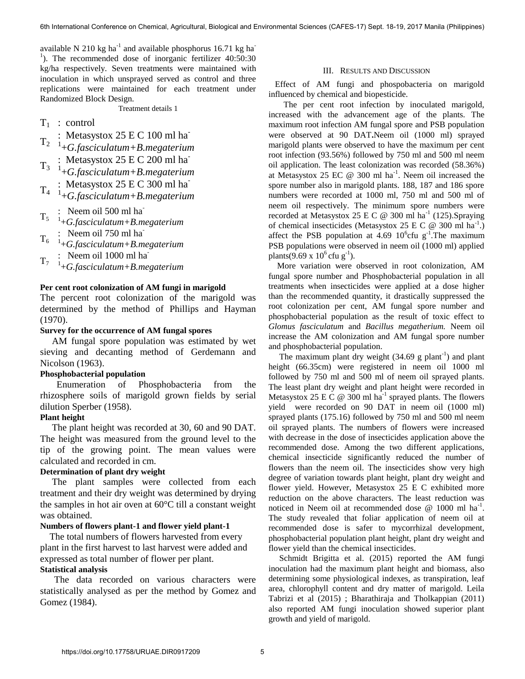available N 210 kg ha<sup>-1</sup> and available phosphorus 16.71 kg ha<sup>-1</sup> <sup>1</sup>). The recommended dose of inorganic fertilizer 40:50:30 kg/ha respectively. Seven treatments were maintained with inoculation in which unsprayed served as control and three replications were maintained for each treatment under Randomized Block Design.

Treatment details 1

- $T_1$  : control
- : Metasystox  $25 \text{ E C } 100 \text{ ml ha}$
- $T_2$  <br> $^{1}$  +*G.fasciculatum+B.megaterium* : Metasystox 25 E C 200 ml ha<sup>-</sup>
- $T_3$  : McCasystox 25 E C 200 fm ha
- T<sup>4</sup> : Metasystox 25 E C 300 ml ha-1 +*G.fasciculatum+B.megaterium*
- 
- : Neem oil 500 ml ha
- T<sup>5</sup> 1 +*G.fasciculatum+B.megaterium*
- : Neem oil 750 ml ha
- T6 1 +*G.fasciculatum+B.megaterium*
- : Neem oil 1000 ml ha
- T7 1 +*G.fasciculatum+B.megaterium*

## **Per cent root colonization of AM fungi in marigold**

The percent root colonization of the marigold was determined by the method of Phillips and Hayman (1970).

# **Survey for the occurrence of AM fungal spores**

 AM fungal spore population was estimated by wet sieving and decanting method of Gerdemann and Nicolson (1963).

## **Phosphobacterial population**

 Enumeration of Phosphobacteria from the rhizosphere soils of marigold grown fields by serial dilution Sperber (1958).

## **Plant height**

 The plant height was recorded at 30, 60 and 90 DAT. The height was measured from the ground level to the tip of the growing point. The mean values were calculated and recorded in cm.

# **Determination of plant dry weight**

 The plant samples were collected from each treatment and their dry weight was determined by drying the samples in hot air oven at 60°C till a constant weight was obtained.

## **Numbers of flowers plant-1 and flower yield plant-1**

 The total numbers of flowers harvested from every plant in the first harvest to last harvest were added and expressed as total number of flower per plant.

## **Statistical analysis**

 The data recorded on various characters were statistically analysed as per the method by Gomez and Gomez (1984).

## III. RESULTS AND DISCUSSION

 Effect of AM fungi and phospobacteria on marigold influenced by chemical and biopesticide.

 The per cent root infection by inoculated marigold, increased with the advancement age of the plants. The maximum root infection AM fungal spore and PSB population were observed at 90 DAT**.**Neem oil (1000 ml) sprayed marigold plants were observed to have the maximum per cent root infection (93.56%) followed by 750 ml and 500 ml neem oil application. The least colonization was recorded (58.36%) at Metasystox 25 EC  $\omega$  300 ml ha<sup>-1</sup>. Neem oil increased the spore number also in marigold plants. 188, 187 and 186 spore numbers were recorded at 1000 ml, 750 ml and 500 ml of neem oil respectively. The minimum spore numbers were recorded at Metasystox 25 E C @ 300 ml ha<sup>-1</sup> (125).Spraying of chemical insecticides (Metasystox 25 E C  $\textcircled{a}$  300 ml ha<sup>-1</sup>.) affect the PSB population at 4.69  $10^6$ cfu g<sup>-1</sup>. The maximum PSB populations were observed in neem oil (1000 ml) applied plants(9.69 x  $10^6$  cfu g<sup>-1</sup>).

 More variation were observed in root colonization, AM fungal spore number and Phosphobacterial population in all treatments when insecticides were applied at a dose higher than the recommended quantity, it drastically suppressed the root colonization per cent, AM fungal spore number and phosphobacterial population as the result of toxic effect to *Glomus fasciculatum* and *Bacillus megatherium.* Neem oil increase the AM colonization and AM fungal spore number and phosphobacterial population.

The maximum plant dry weight  $(34.69 \text{ g plant}^{-1})$  and plant height (66.35cm) were registered in neem oil 1000 ml followed by 750 ml and 500 ml of neem oil sprayed plants. The least plant dry weight and plant height were recorded in Metasystox 25 E C  $\omega$  300 ml ha<sup>-1</sup> sprayed plants. The flowers yield were recorded on 90 DAT in neem oil (1000 ml) sprayed plants (175.16) followed by 750 ml and 500 ml neem oil sprayed plants. The numbers of flowers were increased with decrease in the dose of insecticides application above the recommended dose. Among the two different applications, chemical insecticide significantly reduced the number of flowers than the neem oil. The insecticides show very high degree of variation towards plant height, plant dry weight and flower yield. However, Metasystox 25 E C exhibited more reduction on the above characters. The least reduction was noticed in Neem oil at recommended dose  $\omega$  1000 ml ha<sup>-1</sup>. The study revealed that foliar application of neem oil at recommended dose is safer to mycorrhizal development, phosphobacterial population plant height, plant dry weight and flower yield than the chemical insecticides.

 Schmidt Brigitta et al. (2015) reported the AM fungi inoculation had the maximum plant height and biomass, also determining some physiological indexes, as transpiration, leaf area, chlorophyll content and dry matter of marigold. Leila Tabrizi et al (2015) ; Bharathiraja and Tholkappian (2011) also reported AM fungi inoculation showed superior plant growth and yield of marigold.